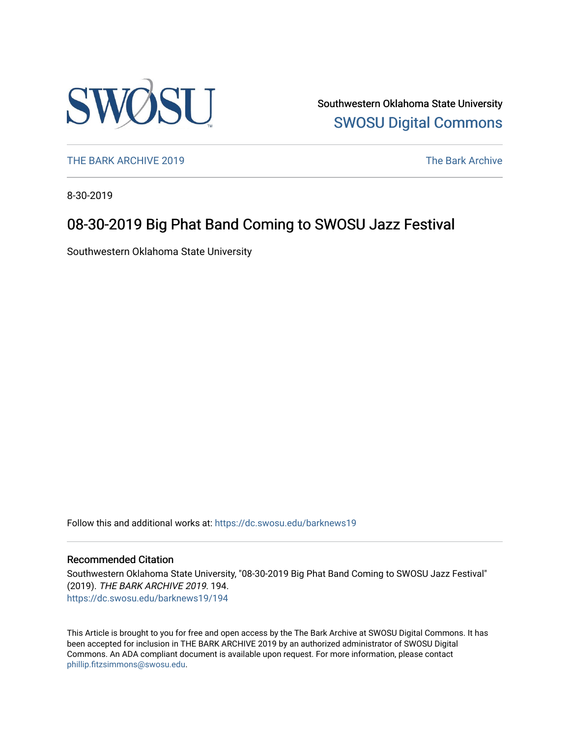

Southwestern Oklahoma State University [SWOSU Digital Commons](https://dc.swosu.edu/) 

[THE BARK ARCHIVE 2019](https://dc.swosu.edu/barknews19) The Bark Archive

8-30-2019

## 08-30-2019 Big Phat Band Coming to SWOSU Jazz Festival

Southwestern Oklahoma State University

Follow this and additional works at: [https://dc.swosu.edu/barknews19](https://dc.swosu.edu/barknews19?utm_source=dc.swosu.edu%2Fbarknews19%2F194&utm_medium=PDF&utm_campaign=PDFCoverPages)

#### Recommended Citation

Southwestern Oklahoma State University, "08-30-2019 Big Phat Band Coming to SWOSU Jazz Festival" (2019). THE BARK ARCHIVE 2019. 194. [https://dc.swosu.edu/barknews19/194](https://dc.swosu.edu/barknews19/194?utm_source=dc.swosu.edu%2Fbarknews19%2F194&utm_medium=PDF&utm_campaign=PDFCoverPages)

This Article is brought to you for free and open access by the The Bark Archive at SWOSU Digital Commons. It has been accepted for inclusion in THE BARK ARCHIVE 2019 by an authorized administrator of SWOSU Digital Commons. An ADA compliant document is available upon request. For more information, please contact [phillip.fitzsimmons@swosu.edu](mailto:phillip.fitzsimmons@swosu.edu).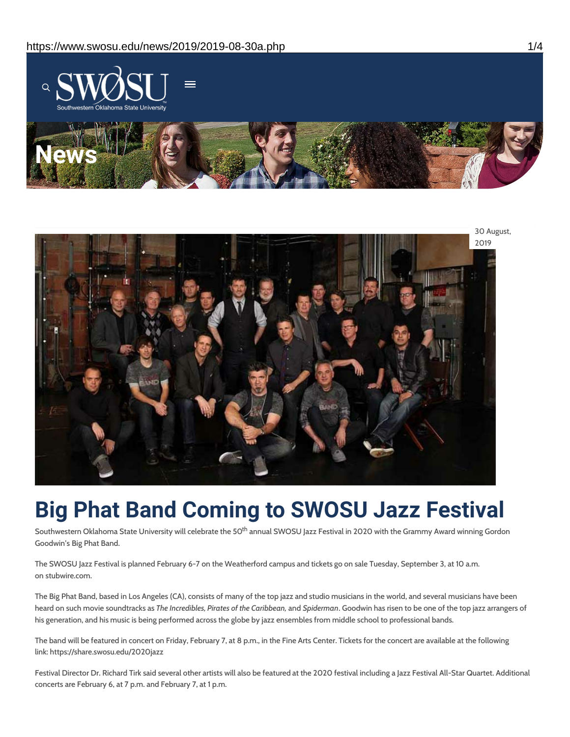



# **Big Phat Band Coming to SWOSU Jazz Festival**

Southwestern Oklahoma State University will celebrate the 50<sup>th</sup> annual SWOSU Jazz Festival in 2020 with the Grammy Award winning Gordon Goodwin's Big Phat Band.

The SWOSU Jazz Festival is planned February 6-7 on the Weatherford campus and tickets go on sale Tuesday, September 3, at 10 a.m. on stubwire.com.

The Big Phat Band, based in Los Angeles (CA), consists of many of the top jazz and studio musicians in the world, and several musicians have been heard on such movie soundtracks as *The Incredibles, Pirates of the Caribbean,* and *Spiderman*. Goodwin has risen to be one of the top jazz arrangers of his generation, and his music is being performed across the globe by jazz ensembles from middle school to professional bands.

The band will be featured in concert on Friday, February 7, at 8 p.m., in the Fine Arts Center. Tickets for the concert are available at the following link: https://share.swosu.edu/2020jazz

Festival Director Dr. Richard Tirk said several other artists will also be featured at the 2020 festival including a Jazz Festival All-Star Quartet. Additional concerts are February 6, at 7 p.m. and February 7, at 1 p.m.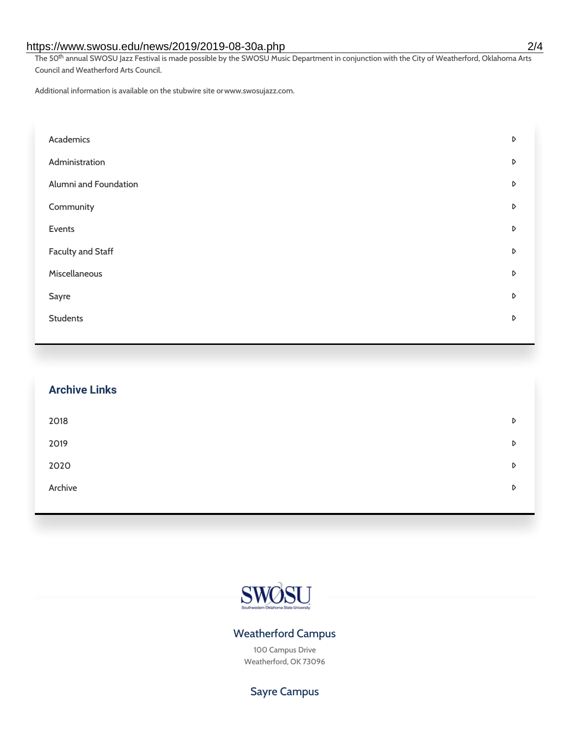#### https://www.swosu.edu/news/2019/2019-08-30a.php 2/4

The 50<sup>th</sup> annual SWOSU Jazz Festival is made possible by the SWOSU Music Department in conjunction with the City of Weatherford, Oklahoma Arts Council and Weatherford Arts Council.

Additional information is available on the stubwire site orwww.swosujazz.com.

| Academics                | D |
|--------------------------|---|
| Administration           | D |
| Alumni and Foundation    | D |
| Community                | D |
| Events                   | D |
| <b>Faculty and Staff</b> | D |
| Miscellaneous            | D |
| Sayre                    | D |
| <b>Students</b>          | D |

| <b>Archive Links</b> |   |
|----------------------|---|
| 2018                 | D |
| 2019                 | D |
| 2020                 | D |
| Archive              | D |



### Weatherford Campus

100 Campus Drive Weatherford, OK 73096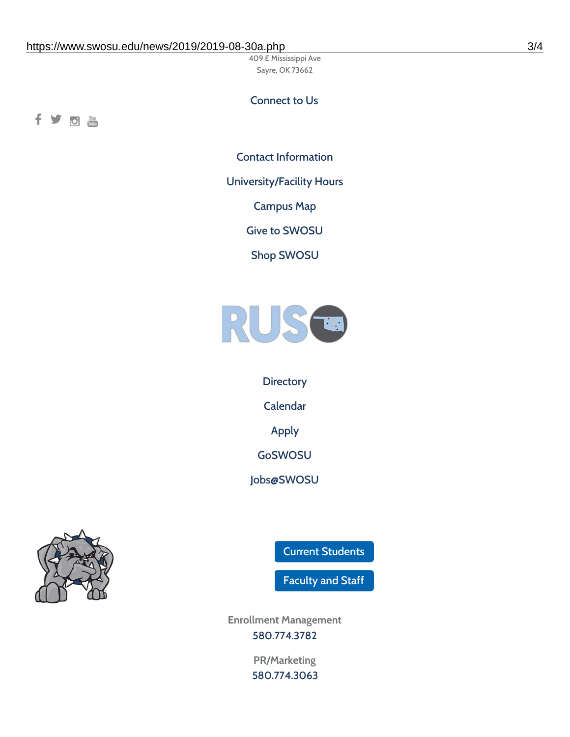409 E Mississippi Ave Sayre, OK 73662

#### Connect to Us

fyom

Contact [Information](https://www.swosu.edu/about/contact.php)

[University/Facility](https://www.swosu.edu/about/operating-hours.php) Hours

[Campus](https://map.concept3d.com/?id=768#!ct/10964,10214,10213,10212,10205,10204,10203,10202,10136,10129,10128,0,31226,10130,10201,10641,0) Map

Give to [SWOSU](https://standingfirmly.com/donate)

Shop [SWOSU](https://shopswosu.merchorders.com/)



**[Directory](https://www.swosu.edu/directory/index.php)** [Calendar](https://eventpublisher.dudesolutions.com/swosu/) [Apply](https://www.swosu.edu/admissions/apply-to-swosu.php) [GoSWOSU](https://qlsso.quicklaunchsso.com/home/1267) [Jobs@SWOSU](https://swosu.csod.com/ux/ats/careersite/1/home?c=swosu)



Current [Students](https://bulldog.swosu.edu/index.php)

[Faculty](https://bulldog.swosu.edu/faculty-staff/index.php) and Staff

**Enrollment Management** [580.774.3782](tel:5807743782)

> **PR/Marketing** [580.774.3063](tel:5807743063)